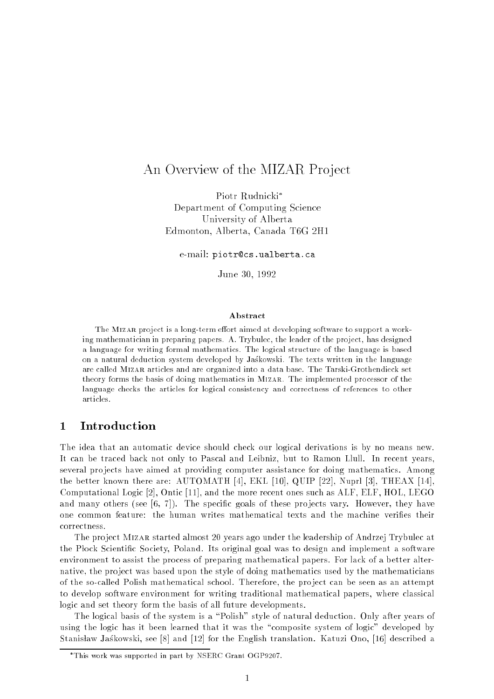# An Overview of the MIZAR Project

Piotr Rudnicki Department of Computing Science University of Alberta Edmonton, Alberta, Canada T6G 2H1

e-mail: piotr@cs.ualberta.ca

June 30, 1992

### Abstract

The MIZAR project is a long-term effort aimed at developing software to support a working mathematician in preparing papers. A. Trybulec, the leader of the project, has designed a language for writing formal mathematics. The logical structure of the language is based on a natural deduction system developed by Jaskowski. The texts written in the language are called Mizar articles and are organized into a data base. The Tarski-Grothendieck set theory forms the basis of doing mathematics in Mizar. The implemented processor of the language checks the articles for logical consistency and correctness of references to other articles.

# 1 Introduction

The idea that an automatic device should check our logical derivations is by no means new. It can be traced back not only to Pascal and Leibniz, but to Ramon Llull. In recent years several pro jects have aimed at providing computer assistance for doing mathematics. Among the better known there are: AUTOMATH [4], EKL [10], QUIP [22], Nuprl [3], THEAX [14], Computational Logic [2], Ontic [11], and the more recent ones such as ALF, ELF, HOL, LEGO and many others (see  $[6, 7]$ ). The specific goals of these projects vary. However, they have one common feature: the human writes mathematical texts and the machine veries their correctness.

The pro ject Mizar started almost 20 years ago under the leadership of Andrzej Trybulec at the Plock Scientific Society, Poland. Its original goal was to design and implement a software environment to assist the process of preparing mathematical papers. For lack of a better alternative, the project was based upon the style of doing mathematics used by the mathematicians of the so-called Polish mathematical school. Therefore, the pro ject can be seen as an attempt to develop software environment for writing traditional mathematical papers, where classical logic and set theory form the basis of all future developments.

The logical basis of the system is a "Polish" style of natural deduction. Only after years of using the logic has it been learned that it was the "composite system of logic" developed by Stanisław Jaskowski, see [8] and [12] for the English translation. Katuzi Ono, [16] described a

This work was supported in part by NSERC Grant OGP9207.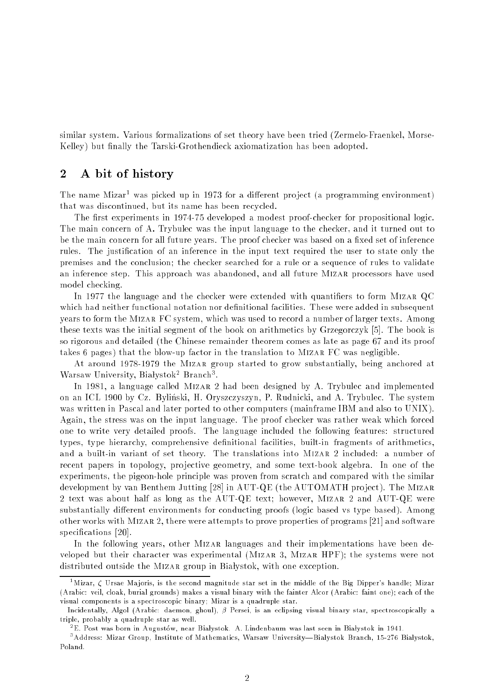similar system. Various formalizations of set theory have been tried (Zermelo-Fraenkel, Morse-Kelley) but finally the Tarski-Grothendieck axiomatization has been adopted.

## 2 A bit of history

The name Mizar1 was picked up in 1973 for a dierent pro ject (a programming environment) that was discontinued, but its name has been recycled.

The first experiments in 1974-75 developed a modest proof-checker for propositional logic. The main concern of A. Trybulec was the input language to the checker, and it turned out to be the main concern for all future years. The proof checker was based on a fixed set of inference rules. The justication of an inference in the input text required the user to state only the premises and the conclusion; the checker searched for a rule or a sequence of rules to validate an inference step. This approach was abandoned, and all future Mizar processors have used model checking.

In 1977 the language and the checker were extended with quantifiers to form MIZAR QC which had neither functional notation nor definitional facilities. These were added in subsequent years to form the Mizar FC system, which was used to record a number of larger texts. Among these texts was the initial segment of the book on arithmetics by Grzegorczyk [5]. The book is so rigorous and detailed (the Chinese remainder theorem comes as late as page 67 and its proof takes 6 pages) that the blow-up factor in the translation to Mizar FC was negligible.

At around 1978-1979 the Mizar group started to grow substantially, being anchored at warsaw Umiversity, Diarystok- Dramch-.

In 1981, a language called Mizar 2 had been designed by A. Trybulec and implemented on an ICL 1900 by Cz. Bylinski, H. Oryszczyszyn, P. Rudnicki, and A. Trybulec. The system was written in Pascal and later ported to other computers (mainframe IBM and also to UNIX). Again, the stress was on the input language. The proof checker was rather weak which forced one to write very detailed proofs. The language included the following features: structured types, type hierarchy, comprehensive definitional facilities, built-in fragments of arithmetics, and a built-in variant of set theory. The translations into Mizar 2 included: a number of recent papers in topology, projective geometry, and some text-book algebra. In one of the experiments, the pigeon-hole principle was proven from scratch and compared with the similar development by van Benthem Jutting [28] in AUT-QE (the AUTOMATH project). The MIZAR 2 text was about half as long as the AUT-QE text; however, Mizar 2 and AUT-QE were substantially different environments for conducting proofs (logic based vs type based). Among other works with Mizar 2, there were attempts to prove properties of programs [21] and software specifications [20].

In the following years, other MIZAR languages and their implementations have been developed but their character was experimental (Mizar 3, Mizar HPF); the systems were not distributed outside the MIZAR group in Białystok, with one exception.

<sup>1</sup>Mizar, Ursae Majoris, is the second magnitude star set in the middle of the Big Dipper's handle; Mizar (Arabic: veil, cloak, burial grounds) makes a visual binary with the fainter Alcor (Arabic: faint one); each of the visual components is a spectroscopic binary; Mizar is a quadruple star.

Incidentally, Algol (Arabic: daemon, ghoul),  Persei, is an eclipsing visual binary star, spectroscopically a triple, probably a quadruple star as well.

<sup>-</sup>E. Post was born in Augustow, near Białystok. A. Lindenbaum was last seen in Białystok in 1941.

<sup>&</sup>quot;Address: Mizar Group, Institute of Mathematics, Warsaw University—Białystok Branch, 15-276 Białystok, Poland.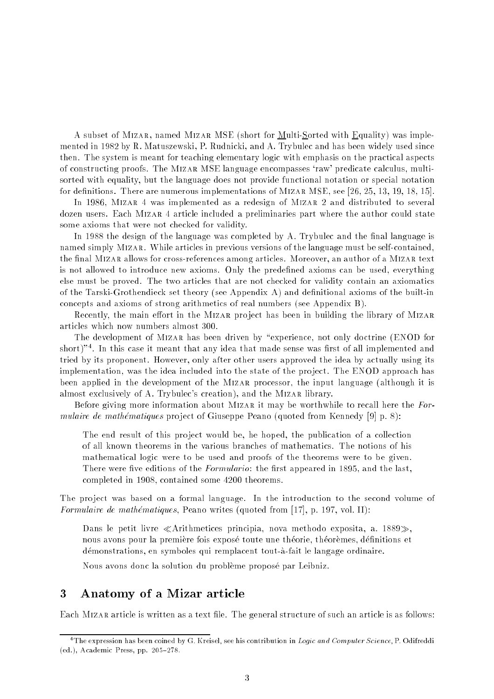A subset of Mizar, named Mizar MSE (short for Multi-Sorted with Equality) was implemented in 1982 by R. Matuszewski, P. Rudnicki, and A. Trybulec and has been widely used since then. The system is meant for teaching elementary logic with emphasis on the practical aspects of constructing proofs. The Mizar MSE language encompasses `raw' predicate calculus, multisorted with equality, but the language does not provide functional notation or special notation for definitions. There are numerous implementations of MIZAR MSE, see [26, 25, 13, 19, 18, 15].

In 1986, Mizar 4 was implemented as a redesign of Mizar 2 and distributed to several dozen users. Each Mizar 4 article included a preliminaries part where the author could state some axioms that were not checked for validity.

In 1988 the design of the language was completed by A. Trybulec and the final language is named simply Mizar. While articles in previous versions of the language must be self-contained, the final MIZAR allows for cross-references among articles. Moreover, an author of a MIZAR text is not allowed to introduce new axioms. Only the predened axioms can be used, everything else must be proved. The two articles that are not checked for validity contain an axiomatics of the Tarski-Grothendieck set theory (see Appendix A) and denitional axioms of the built-in concepts and axioms of strong arithmetics of real numbers (see Appendix B).

Recently, the main effort in the MIZAR project has been in building the library of MIZAR articles which now numbers almost 300.

The development of MIZAR has been driven by "experience, not only doctrine (ENOD for short)" \*. In this case it meant that any idea that made sense was first of all implemented and tried by its proponent. However, only after other users approved the idea by actually using its implementation, was the idea included into the state of the pro ject. The ENOD approach has been applied in the development of the Mizar processor, the input language (although it is almost exclusively of A. Trybulec's creation), and the Mizar library.

Before giving more information about MIZAR it may be worthwhile to recall here the  $For$ mulaire de mathématiques project of Giuseppe Peano (quoted from Kennedy [9] p. 8):

The end result of this project would be, he hoped, the publication of a collection of all known theorems in the various branches of mathematics. The notions of his mathematical logic were to be used and proofs of the theorems were to be given. There were five editions of the *Formulario*: the first appeared in 1895, and the last, completed in 1908, contained some 4200 theorems.

The project was based on a formal language. In the introduction to the second volume of Formulaire de mathématiques, Peano writes (quoted from  $[17]$ , p. 197, vol. II):

Dans le petit livre «Arithmetices principia, nova methodo exposita, a.  $1889$ », nous avons pour la première fois exposé toute une théorie, théorèmes, définitions et demonstrations, en symboles qui remplacent tout-a-fait le langage ordinaire.

Nous avons donc la solution du probleme propose par Leibniz.

### 3 Anatomy of a Mizar article

Each MIZAR article is written as a text file. The general structure of such an article is as follows:

 $^\circ$  1 he expression has been coined by G. Kreisel, see his contribution in  $\emph{Logic}$  and Computer Science, P. Odifreddi (ed.), Academic Press, pp. 205-278.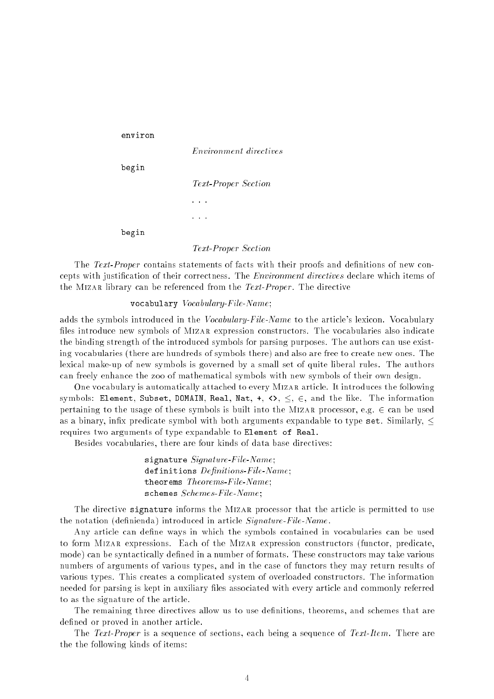```
environ
                  Environment directives
begin
                  Text-Proper Section
                  . . .
                  and a
begin
                  Text-Proper Section
```
The Text-Proper contains statements of facts with their proofs and definitions of new concepts with justication of their correctness. The Environment directives declare which items of the MIZAR library can be referenced from the Text-Proper. The directive

### vocabulary Vocabulary-File-Name;

adds the symbols introduced in the *Vocabulary-File-Name* to the article's lexicon. Vocabulary files introduce new symbols of MIZAR expression constructors. The vocabularies also indicate the binding strength of the introduced symbols for parsing purposes. The authors can use existing vocabularies (there are hundreds of symbols there) and also are free to create new ones. The lexical make-up of new symbols is governed by a small set of quite liberal rules. The authors can freely enhance the zoo of mathematical symbols with new symbols of their own design.

One vocabulary is automatically attached to every Mizar article. It introduces the following symbols: Element, Subset, DOMAIN, Real, Nat,  $\leftrightarrow$ ,  $\lt$ ,  $\in$ , and the like. The information pertaining to the usage of these symbols is built into the MIZAR processor, e.g.  $\in$  can be used as a binary, infix predicate symbol with both arguments expandable to type set. Similarly,  $\leq$ requires two arguments of type expandable to Element of Real.

Besides vocabularies, there are four kinds of data base directives:

signature Signature-File-Name; definitions  $Definitions$ -File-Name; theorems Theorems-File-Name; schemes Schemes-File-Name;

The directive signature informs the MIZAR processor that the article is permitted to use the notation (definienda) introduced in article Signature-File-Name.

Any article can define ways in which the symbols contained in vocabularies can be used to form Mizar expressions. Each of the Mizar expression constructors (functor, predicate, mode) can be syntactically defined in a number of formats. These constructors may take various numbers of arguments of various types, and in the case of functors they may return results of various types. This creates a complicated system of overloaded constructors. The information needed for parsing is kept in auxiliary files associated with every article and commonly referred to as the signature of the article.

The remaining three directives allow us to use definitions, theorems, and schemes that are defined or proved in another article.

The *Text-Proper* is a sequence of sections, each being a sequence of *Text-Item*. There are the the following kinds of items: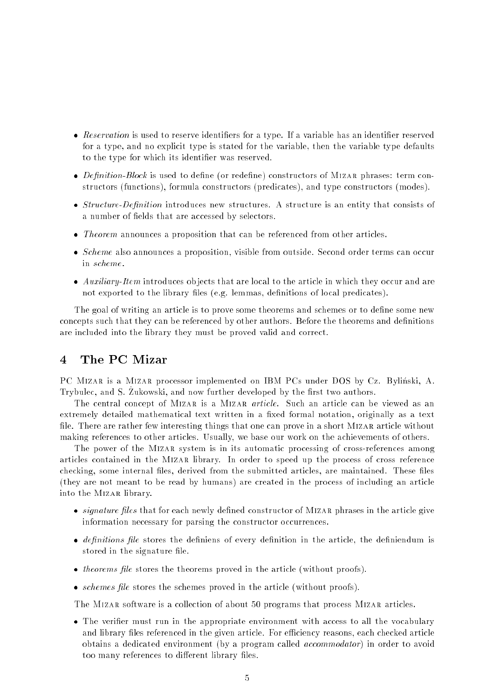- Reservation is used to reserve identiers for a type. If a variable has an identier reserved for a type, and no explicit type is stated for the variable, then the variable type defaults to the type for which its identifier was reserved.
- Denition-Block is used to dene (or redene) constructors of Mizar phrases: term constructors (functions), formula constructors (predicates), and type constructors (modes).
- Structure-Denition introduces new structures. A structure is an entity that consists of a number of fields that are accessed by selectors.
- Theorem announces a proposition that can be referenced from other articles.
- Scheme also announces a proposition, visible from outside. Second order terms can occur in scheme.
- Auxiliary-Item introduces ob jects that are local to the article in which they occur and are not exported to the library files (e.g. lemmas, definitions of local predicates).

The goal of writing an article is to prove some theorems and schemes or to define some new concepts such that they can be referenced by other authors. Before the theorems and definitions are included into the library they must be proved valid and correct.

## 4 The PC Mizar

PC MIZAR is a MIZAR processor implemented on IBM PCs under DOS by Cz. Byliński, A. Trybulet, and S. Zukowski, and now further developed by the mist two authors.

The central concept of MIZAR is a MIZAR *article*. Such an article can be viewed as an extremely detailed mathematical text written in a fixed formal notation, originally as a text file. There are rather few interesting things that one can prove in a short MIZAR article without making references to other articles. Usually, we base our work on the achievements of others.

The power of the MIZAR system is in its automatic processing of cross-references among articles contained in the Mizar library. In order to speed up the process of cross reference checking, some internal files, derived from the submitted articles, are maintained. These files (they are not meant to be read by humans) are created in the process of including an article into the Mizar library.

- signature in the form of the form of Mizar and the construction of Mizar phrases in the article give information necessary for parsing the constructor occurrences.
- de le store de le store the de de de de de de de le store de le de de de de de de de de de de deur de de de de stored in the signature file.
- theorems les stores the theorems proved in the article (without proofs).
- schemes le stores the schemes proved in the article (without proofs).

The MIZAR software is a collection of about 50 programs that process MIZAR articles.

 The verier must run in the appropriate environment with access to all the vocabulary and library files referenced in the given article. For efficiency reasons, each checked article obtains a dedicated environment (by a program called accommodator) in order to avoid too many references to different library files.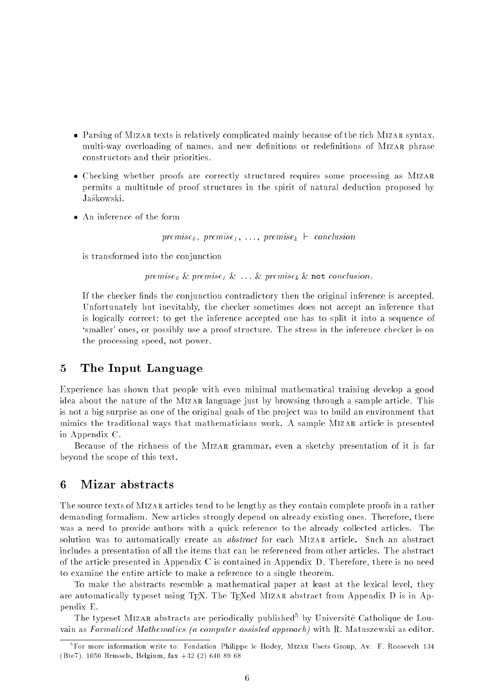- Parsing of Mizar texts is relatively complicated mainly because of the rich Mizar syntax, multi-way overloading of names, and new definitions or redefinitions of MIZAR phrase constructors and their priorities.
- Checking whether proofs are correctly structured requires some processing as Mizar permits a multitude of proof structures in the spirit of natural deduction proposed by Jaśkowski.
- 

 $premise_{\theta}$ ,  $premise_{\theta}$ ,  $\dots$ ,  $premise_{k}$   $\vdash$  conclusion

is transformed into the conjunction

premise<sub>0</sub> & premise<sub>1</sub> &  $\ldots$  & premise<sub>k</sub> & not conclusion.

If the checker finds the conjunction contradictory then the original inference is accepted. Unfortunately but inevitably, the checker sometimes does not accept an inference that is logically correct; to get the inference accepted one has to split it into a sequence of `smaller' ones, or possibly use a proof structure. The stress in the inference checker is on the processing speed, not power.

## 5 The Input Language

Experience has shown that people with even minimal mathematical training develop a good idea about the nature of the Mizar language just by browsing through a sample article. This is not a big surprise as one of the original goals of the project was to build an environment that mimics the traditional ways that mathematicians work. A sample Mizar article is presented in Appendix C.

Because of the richness of the Mizar grammar, even a sketchy presentation of it is far beyond the scope of this text.

#### 6 Mizar abstracts

The source texts of MIZAR articles tend to be lengthy as they contain complete proofs in a rather demanding formalism. New articles strongly depend on already existing ones. Therefore, there was a need to provide authors with a quick reference to the already collected articles. The solution was to automatically create an *abstract* for each MIZAR article. Such an abstract includes a presentation of all the items that can be referenced from other articles. The abstract of the article presented in Appendix C is contained in Appendix D. Therefore, there is no need to examine the entire article to make a reference to a single theorem.

To make the abstracts resemble a mathematical paper at least at the lexical level, they are automatically typeset using TFX. The TFXed MIZAR abstract from Appendix D is in Appendix E.

The typeset Mizar abstracts are periodically published<sup>5</sup> by Universite Catholique de Louvain as Formalized Mathematics (a computer assisted approach) with R. Matuszewski as editor.

<sup>5</sup> For more information write to: Fondation Philippe le Hodey, Mizar Users Group, Av. F. Roosevelt 134 (Bte7), 1050 Brussels, Belgium, fax +32 (2) 640 89 68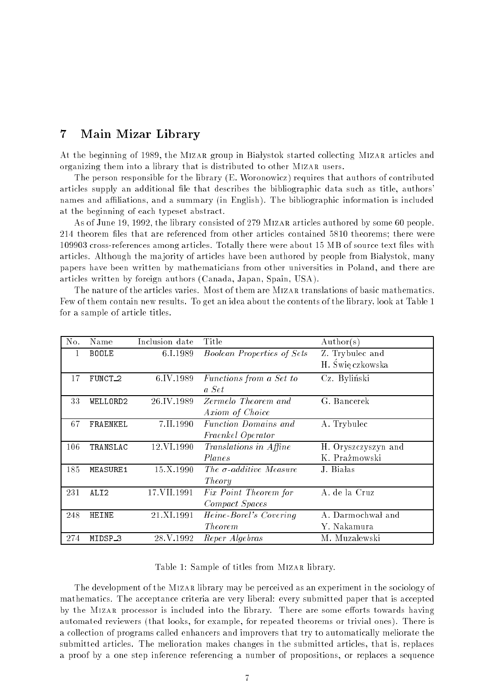#### $\overline{7}$ Main Mizar Library

At the beginning of 1989, the MIZAR group in Białystok started collecting MIZAR articles and organizing them into a library that is distributed to other Mizar users.

The person responsible for the library (E. Woronowicz) requires that authors of contributed articles supply an additional file that describes the bibliographic data such as title, authors names and affiliations, and a summary (in English). The bibliographic information is included at the beginning of each typeset abstract.

As of June 19, 1992, the library consisted of 279 Mizar articles authored by some 60 people. 214 theorem files that are referenced from other articles contained 5810 theorems; there were 109903 cross-references among articles. Totally there were about 15 MB of source text les with articles. Although the majority of articles have been authored by people from Białystok, many papers have been written by mathematicians from other universities in Poland, and there are articles written by foreign authors (Canada, Japan, Spain, USA).

The nature of the articles varies. Most of them are MIZAR translations of basic mathematics. Few of them contain new results. To get an idea about the contents of the library, look at Table 1 for a sample of article titles.

| No. | Name             | Inclusion date | Title                             | $\text{Author}(s)$  |
|-----|------------------|----------------|-----------------------------------|---------------------|
| 1   | <b>BOOLE</b>     | 6.I.1989       | <b>Boolean Properties of Sets</b> | Z. Trybulec and     |
|     |                  |                |                                   | H. Świę czkowska    |
| 17  | FUNCT_2          | 6.IV.1989      | Functions from a Set to           | Cz. Byliński        |
|     |                  |                | a Set                             |                     |
| 33. | WELLORD2         | 26.IV.1989     | Zermelo Theorem and               | G. Bancerek         |
|     |                  |                | Axiom of Choice                   |                     |
| 67  | FRAENKEL         | 7.II.1990      | <i>Function Domains and</i>       | A. Trybulec         |
|     |                  |                | Fraenkel Operator                 |                     |
| 106 | TRANSLAC         | 12 VI 1990     | Translations in Affine            | H. Oryszczyszyn and |
|     |                  |                | Planes                            | K. Prażmowski       |
| 185 | <b>MEASURE1</b>  | 15.X.1990      | The $\sigma$ -additive Measure    | J. Białas           |
|     |                  |                | Theory                            |                     |
| 231 | ALI <sub>2</sub> | 17.VII.1991    | Fix Point Theorem for             | A. de la Cruz       |
|     |                  |                | Compact Spaces                    |                     |
| 248 | HEINE            | 21.XI.1991     | Heine-Borel's Covering            | A. Darmochwał and   |
|     |                  |                | <i>Theorem</i>                    | Y. Nakamura         |
| 274 | MIDSP_3          | 28.V.1992      | Reper Algebras                    | M. Muzalewski       |

Table 1: Sample of titles from Mizar library.

The development of the Mizar library may be perceived as an experiment in the sociology of mathematics. The acceptance criteria are very liberal: every submitted paper that is accepted by the MIZAR processor is included into the library. There are some efforts towards having automated reviewers (that looks, for example, for repeated theorems or trivial ones). There is a collection of programs called enhancers and improvers that try to automatically meliorate the submitted articles. The melioration makes changes in the submitted articles, that is, replaces a proof by a one step inference referencing a number of propositions, or replaces a sequence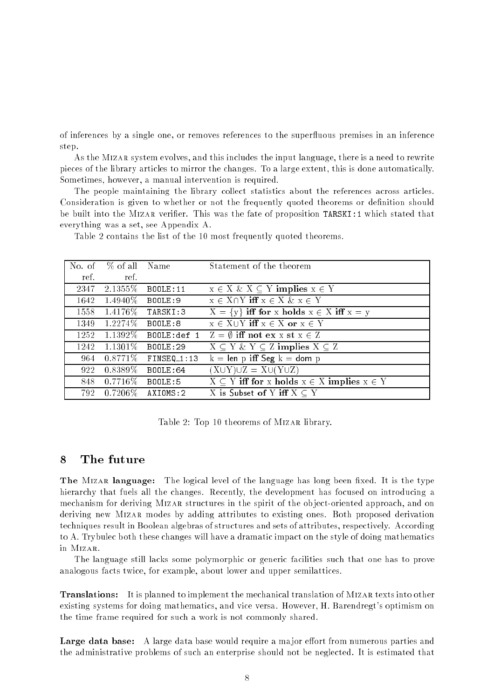of inferences by a single one, or removes references to the super
uous premises in an inference step.

As the Mizar system evolves, and this includes the input language, there is a need to rewrite pieces of the library articles to mirror the changes. To a large extent, this is done automatically. Sometimes, however, a manual intervention is required.

The people maintaining the library collect statistics about the references across articles. Consideration is given to whether or not the frequently quoted theorems or definition should be built into the MIZAR verifier. This was the fate of proposition TARSKI: 1 which stated that everything was a set, see Appendix A.

|      | No. of % of all Name  |                 | Statement of the theorem                                    |
|------|-----------------------|-----------------|-------------------------------------------------------------|
| ref. | ref.                  |                 |                                                             |
| 2347 | $2.1355\%$            | <b>BOOLE:11</b> | $x \in X \& X \subseteq Y$ implies $x \in Y$                |
|      | $1642 \quad 1.4940\%$ | BOOLE:9         | $x \in X \cap Y$ iff $x \in X$ & $x \in Y$                  |
| 1558 | $1.4176\%$            | TARSKI:3        | $X = \{y\}$ iff for x holds $x \in X$ iff $x = y$           |
| 1349 | $1.2274\%$            | BOOLE:8         | $x \in X \cup Y$ iff $x \in X$ or $x \in Y$                 |
| 1252 | $1.1392\%$            | BOOLE:def 1     | $\overline{Z} = \emptyset$ iff not ex x st $x \in Z$        |
| 1242 | $1.1301\%$            | <b>BOOLE:29</b> | $X \subseteq Y \& Y \subseteq Z$ implies $X \subseteq Z$    |
| 964  | $0.8771\%$            | $FINSEQ_1:13$   | $k = len p$ iff Seg $k = dom p$                             |
| 922  | $0.8389\%$            | <b>BOOLE:64</b> | $(X\cup Y)\cup Z = X\cup (Y\cup Z)$                         |
| 848  | $0.7716\%$            | BOOLE:5         | $X \subseteq Y$ iff for x holds $x \in X$ implies $x \in Y$ |
| 792  | $0.7206\%$            | AXIOMS:2        | X is Subset of Y iff $X \subset Y$                          |

Table 2 contains the list of the 10 most frequently quoted theorems.

Table 2: Top 10 theorems of Mizar library.

#### $\mathbf{8}$ The future

The MIZAR language: The logical level of the language has long been fixed. It is the type hierarchy that fuels all the changes. Recently, the development has focused on introducing a mechanism for deriving Mizar structures in the spirit of the ob ject-oriented approach, and on deriving new Mizar modes by adding attributes to existing ones. Both proposed derivation techniques result in Boolean algebras of structures and sets of attributes, respectively. According to A. Trybulec both these changes will have a dramatic impact on the style of doing mathematics in Mizar.

The language still lacks some polymorphic or generic facilities such that one has to prove analogous facts twice, for example, about lower and upper semilattices.

Translations: It is planned to implement the mechanical translation of Mizar texts into other existing systems for doing mathematics, and vice versa. However, H. Barendregt's optimism on the time frame required for such a work is not commonly shared.

**Large data base:** A large data base would require a major effort from numerous parties and the administrative problems of such an enterprise should not be neglected. It is estimated that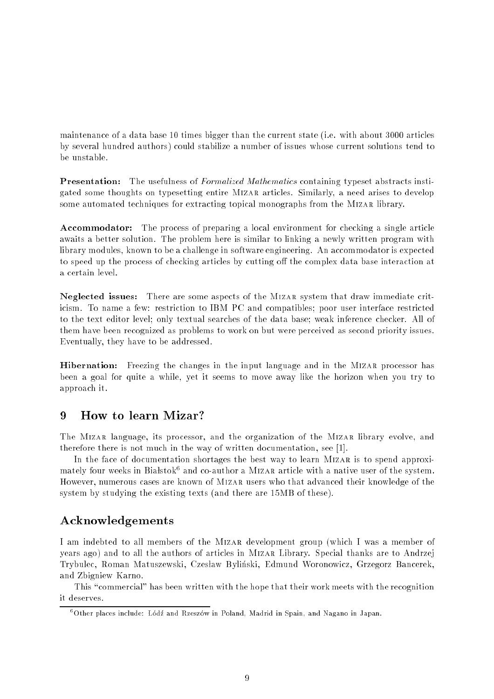maintenance of a data base 10 times bigger than the current state (i.e. with about 3000 articles by several hundred authors) could stabilize a number of issues whose current solutions tend to be unstable.

**Presentation:** The usefulness of *Formalized Mathematics* containing typeset abstracts instigated some thoughts on typesetting entire Mizar articles. Similarly, a need arises to develop some automated techniques for extracting topical monographs from the Mizar library.

Accommodator: The process of preparing a local environment for checking a single article awaits a better solution. The problem here is similar to linking a newly written program with library modules, known to be a challenge in software engineering. An accommodator is expected to speed up the process of checking articles by cutting off the complex data base interaction at a certain level.

Neglected issues: There are some aspects of the Mizar system that draw immediate criticism. To name a few: restriction to IBM PC and compatibles; poor user interface restricted to the text editor level; only textual searches of the data base; weak inference checker. All of them have been recognized as problems to work on but were perceived as second priority issues. Eventually, they have to be addressed.

**Hibernation:** Freezing the changes in the input language and in the MIZAR processor has been a goal for quite a while, yet it seems to move away like the horizon when you try to approach it.

# 9 How to learn Mizar?

The Mizar language, its processor, and the organization of the Mizar library evolve, and therefore there is not much in the way of written documentation, see [1].

In the face of documentation shortages the best way to learn MIZAR is to spend approximately four weeks in Biafstokf and co-author a Mizar article with a native user of the system. However, numerous cases are known of Mizar users who that advanced their knowledge of the system by studying the existing texts (and there are 15MB of these).

### Acknowledgements

I am indebted to all members of the Mizar development group (which I was a member of years ago) and to all the authors of articles in Mizar Library. Special thanks are to Andrzej Trybulec, Roman Matuszewski, Czesław Byliński, Edmund Woronowicz, Grzegorz Bancerek, and Zbigniew Karno.

This "commercial" has been written with the hope that their work meets with the recognition it deserves.

<sup>&</sup>quot;Other places include: Łodz and Rzeszow in Poland, Madrid in Spain, and Nagano in Japan.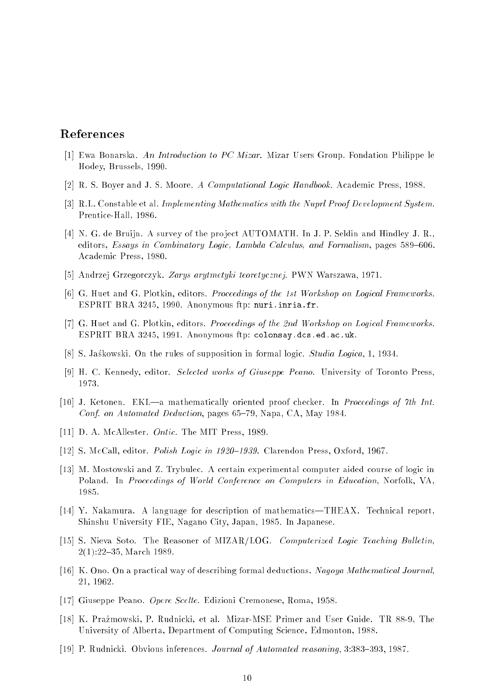## References

- [1] Ewa Bonarska. An Introduction to PC Mizar. Mizar Users Group. Fondation Philippe le Hodey, Brussels, 1990.
- [2] R. S. Boyer and J. S. Moore. A Computational Logic Handbook. Academic Press, 1988.
- [3] R.L. Constable et al. Implementing Mathematics with the Nuprl Proof Development System. Prentice-Hall, 1986.
- [4] N. G. de Bruijn. A survey of the project AUTOMATH. In J. P. Seldin and Hindley J. R. editors, Essays in Combinatory Logic, Lambda Calculus, and Formalism, pages 589-606. Academic Press, 1980.
- [5] Andrzej Grzegorczyk. Zarys arytmetyki teoretycznej. PWN Warszawa, 1971.
- [6] G. Huet and G. Plotkin, editors. Proceedings of the 1st Workshop on Logical Frameworks. ESPRIT BRA 3245, 1990. Anonymous ftp: nuri.inria.fr.
- [7] G. Huet and G. Plotkin, editors. Proceedings of the 2nd Workshop on Logical Frameworks. ESPRIT BRA 3245, 1991. Anonymous ftp: colonsay.dcs.ed.ac.uk.
- [8] S. Jaskowski. On the rules of supposition in formal logic. Studia Logica, 1, 1934.
- [9] H. C. Kennedy, editor. Selected works of Giuseppe Peano. University of Toronto Press, 1973.
- [10] J. Ketonen. EKL—a mathematically oriented proof checker. In *Proceedings of 7th Int.* Conf. on Automated Deduction, pages  $65-79$ , Napa, CA, May 1984.
- [11] D. A. McAllester. Ontic. The MIT Press, 1989.
- [12] S. McCall, editor. *Polish Logic in 1920–1939*. Clarendon Press, Oxford, 1967.
- [13] M. Mostowski and Z. Trybulec. A certain experimental computer aided course of logic in Poland. In Proceedings of World Conference on Computers in Education, Norfolk, VA, 1985.
- [14] Y. Nakamura. A language for description of mathematics—THEAX. Technical report, Shinshu University FIE, Nagano City, Japan, 1985. In Japanese.
- [15] S. Nieva Soto. The Reasoner of MIZAR/LOG. Computerized Logic Teaching Bulletin,  $2(1):22{-}35$ , March 1989.
- [16] K. Ono. On a practical way of describing formal deductions. Nagoya Mathematical Journal, 21, 1962.
- [17] Giuseppe Peano. Opere Scelte. Edizioni Cremonese, Roma, 1958.
- [18] K. Prazmowski, P. Rudnicki, et al. Mizar-MSE Primer and User Guide. TR 88-9, The University of Alberta, Department of Computing Science, Edmonton, 1988.
- [19] P. Rudnicki. Obvious inferences. Journal of Automated reasoning, 3:383-393, 1987.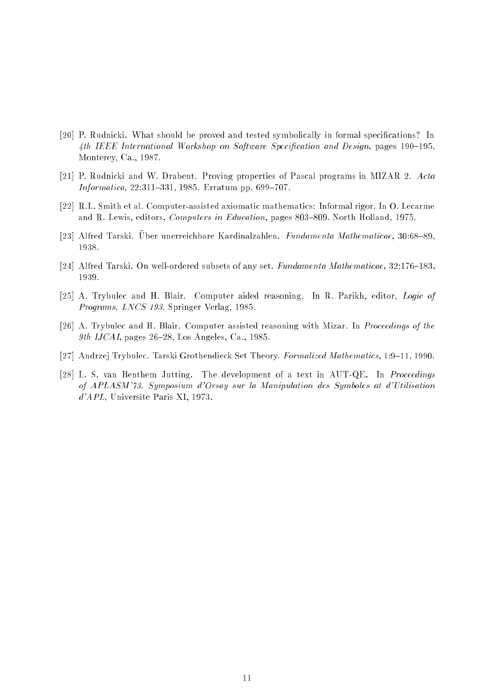- [20] P. Rudnicki. What should be proved and tested symbolically in formal specications? In 4th IEEE International Workshop on Software Specification and Design, pages  $190-195$ , Monterey, Ca., 1987.
- [21] P. Rudnicki and W. Drabent. Proving properties of Pascal programs in MIZAR 2. Acta  $Information, 22:311–331, 1985. Erratum pp. 699–707.$
- [22] R.L. Smith et al. Computer-assisted axiomatic mathematics: Informal rigor. In O. Lecarme and R. Lewis, editors, Computers in Education, pages 803-809. North Holland, 1975.
- [23] Alfred Tarski. Uber unerreichbare Kardinalzahlen. Fundamenta Mathematicae, 30:68-89, 1938.
- [24] Alfred Tarski. On well-ordered subsets of any set. Fundamenta Mathematicae,  $32:176{-}183$ , 1939.
- [25] A. Trybulec and H. Blair. Computer aided reasoning. In R. Parikh, editor, Logic of Programs, LNCS 193. Springer Verlag, 1985.
- [26] A. Trybulec and H. Blair. Computer assisted reasoning with Mizar. In Proceedings of the 9th IJCAI, pages 26-28, Los Angeles, Ca., 1985.
- [27] Andrzej Trybulec. Tarski Grothendieck Set Theory. Formalized Mathematics, 1:9-11, 1990.
- [28] L. S. van Benthem Jutting. The development of a text in AUT-QE. In Proceedings of APLASM'73, Symposium d'Orsay sur la Manipulation des Symboles at d'Utilisation d'APL, Universite Paris XI, 1973.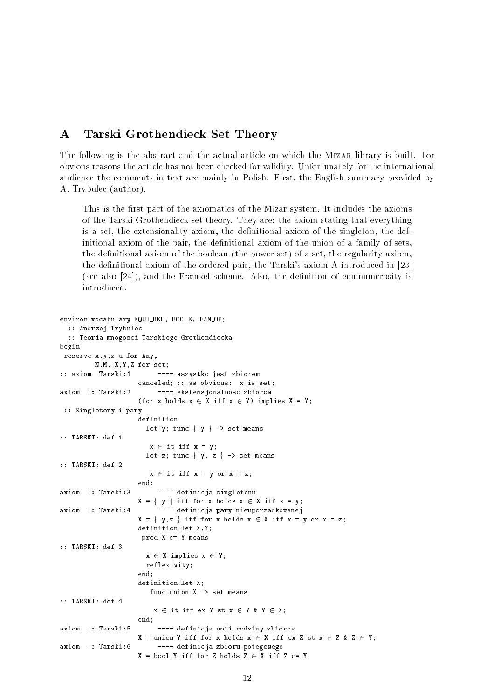#### $\mathbf{A}$ Tarski Grothendieck Set Theory

The following is the abstract and the actual article on which the Mizar library is built. For obvious reasons the article has not been checked for validity. Unfortunately for the international audience the comments in text are mainly in Polish. First, the English summary provided by A. Trybulec (author).

This is the first part of the axiomatics of the Mizar system. It includes the axioms of the Tarski Grothendieck set theory. They are: the axiom stating that everything is a set, the extensionality axiom, the definitional axiom of the singleton, the definitional axiom of the pair, the definitional axiom of the union of a family of sets, the definitional axiom of the boolean (the power set) of a set, the regularity axiom, the definitional axiom of the ordered pair, the Tarski's axiom A introduced in [23] (see also  $[24]$ ), and the Frænkel scheme. Also, the definition of equinumerosity is introduced.

```
environ vocabulary EQUI REL, BOOLE, FAM OP;
  :: Andrzej Trybulec
  :: Teoria mnogosci Tarskiego Grothendiecka
begin
reserve x,y,z,u for Any,
         N,M, X,Y,Z for set;
:: axiom Tarski:1 ---- wszystko jest zbiorem
                      canceled; :: as obvious: x is set;
axiom :: Tarski:2 ---- ekstensjonalnosc zbiorow
                      (for x holds x \in X iff x \in Y) implies X = Y;
 :: Singletony i pary
                     definition
                       let y; func \{ y \} \rightarrow set means
:: TARSKI: def 1
                         x \in \text{it iff } x = y;let z; func \{ y, z \} \rightarrow set means
:: TARSKI: def 2
                         x \in \text{it iff } x = y \text{ or } x = z;end:
                      end;
axiom :: Tarski:3 ---- definicja singletonu
                     X = \{ y \} iff for x holds x \in X iff x = y;
axiom :: Tarski:4 ---- definicja pary nieuporzadkowanej
                     X = \{ y, z \} iff for x holds x \in X iff x = y or x = z;
                      definition let X,Y;
                      pred X c= Y means
:: TARSKI: def 3
                       x \in X implies x \in Y;
                       reflexivity;
                      end;
                      definition let X;
                         func union X -> set means
:: TARSKI: def 4
                          x \in \text{it iff } \text{ex } Y \text{ st } x \in Y \text{ } \& \text{ } Y \in X;end;
axiom :: Tarski:5 ---- definicja unii rodziny zbiorow
                      X = union Y iff for x holds x \in X iff ex Z st x \in Z & Z \in Y;
axiom :: Tarski:6
                          ---- definicja zbioru potegowego
                     X = \text{bool } Y iff for Z holds Z \in X iff Z c= Y;
```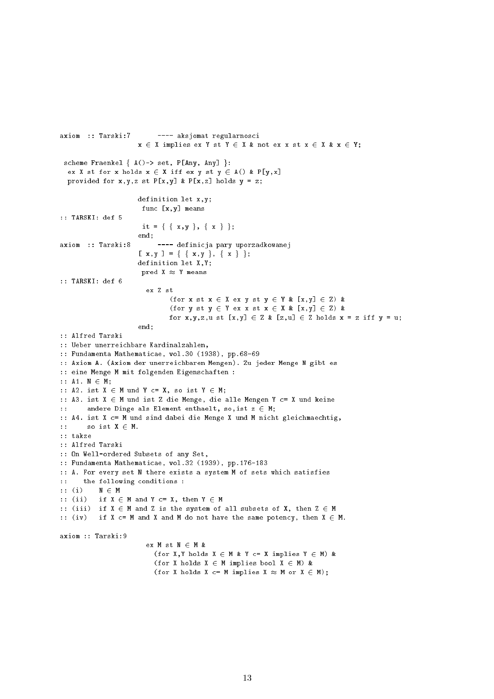```
axiom :: Tarski:7 ---- aksjomat regularnosci
                     x \in X implies ex Y st Y \in X & not ex x st x \in X & x \in Y;
 scheme Fraenkel \{ A() \rightarrow set, P[Any, Any] \}:
  ex X st for x holds x \in X iff ex y st y \in A() & P[y,x]
  provided for x,y,z st P[x,y] & P[x,z] holds y = z;
                     definition let x,y;
                      func [x,y] means
:: TARSKI: def 5
                      it = { { x, y }, { x } };
                     end;
axiom :: Tarski:8 ---- definicja pary uporzadkowanej
                     [x, y] = \{ \{ x, y \}, \{ x \} \};definition let X,Y;
                      pred X \approx Y means
:: TARSKI: def 6
                       ex Z st
                              (for x \text{ st } x \in X \text{ ex } y \text{ st } y \in Y \text{ } k [x, y] \in Z) &
                              (for y st y \in Y ex x st x \in X & [x,y] \in Z) &
                             for x,y,z,u st [x,y] \in Z \& [z,u] \in Z holds x = z iff y = u;
                     end;
:: Alfred Tarski
:: Ueber unerreichbare Kardinalzahlen,
:: Fundamenta Mathematicae, vol.30 (1938), pp.68-69
:: Axiom A. (Axiom der unerreichbaren Mengen). Zu jeder Menge N gibt es
:: eine Menge M mit folgenden Eigenschaften :
:: A1. N \in M;
:: A2. ist X \in M und Y c= X, so ist Y \in M;
:: A3. ist X 2 M und ist Z die Menge, die alle Mengen Y c= X und keine
:: andere Dinge als Element enthaelt, so, ist z \in M;
:: A4. ist X c= M und sind dabei die Menge X und M nicht gleichmaechtig,
:: so ist X \in M.
:: takze
:: Alfred Tarski
:: On Well-ordered Subsets of any Set,
:: Fundamenta Mathematicae, vol.32 (1939), pp.176-183
:: A. For every set N there exists a system M of sets which satisfies
:: the following conditions :
:: (i) N \in M:: (ii) if X \in M and Y c= X, then Y \in M:: (iii) if X \in M and Z is the system of all subsets of X, then Z \in M:: (iv) if X c = M and X and M do not have the same potency, then X \in M.
axiom :: Tarski:9
                       ex M st N \in M &
                         (for X, Y holds X \in M & Y c= X implies Y \in M) &
                          (for X holds X \in M implies bool X \in M) &
                          (for X holds X c= M implies X \approx M or X \in M);
```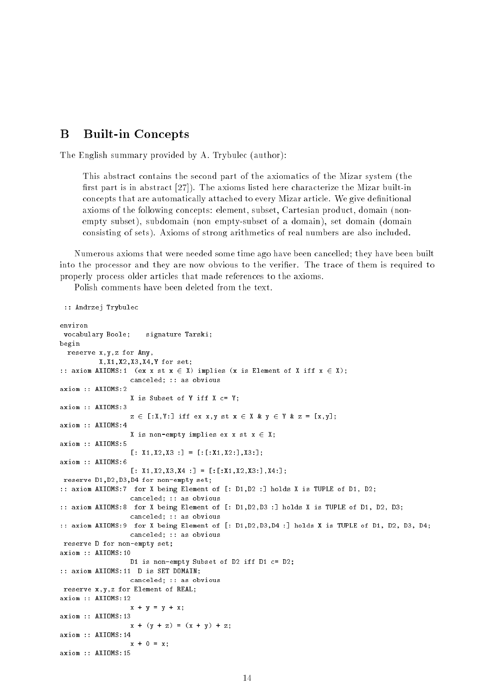#### <sub>B</sub> B Built-in Concepts

The English summary provided by A. Trybulec (author):

This abstract contains the second part of the axiomatics of the Mizar system (the first part is in abstract  $[27]$ . The axioms listed here characterize the Mizar built-in concepts that are automatically attached to every Mizar article. We give definitional axioms of the following concepts: element, subset, Cartesian product, domain (nonempty subset), subdomain (non empty-subset of a domain), set domain (domain consisting of sets). Axioms of strong arithmetics of real numbers are also included.

Numerous axioms that were needed some time ago have been cancelled; they have been built into the processor and they are now obvious to the verier. The trace of them is required to properly process older articles that made references to the axioms.

Polish comments have been deleted from the text.

```
:: Andrzej Trybulec
```

```
environ
vocabulary Boole; signature Tarski;
begin
 reserve x,y,z for Any,
         X,X1,X2,X3,X4,Y for set;
:: axiom AXIOMS:1 (ex x st x \in X) implies (x is Element of X iff x \in X);
                  canceled; :: as obvious
axiom :: AXIOMS:2
                  X is Subset of Y iff X c= Y;
axiom :: AXIOMS:3
                  z \in [X,Y:] iff ex x,y st x \in X & y \in Y & z = [x,y];
axiom :: AXIOMS:4
                  X is non-empty implies ex x st x \in X;
axiom :: AXIOMS:5
                  [: X1, X2, X3 :] = [.:X1, X2:], X3:];axiom :: AXIOMS:6
                  [: X1, X2, X3, X4 :] = [.X1, X2, X3 :], X4 :]reserve D1,D2,D3,D4 for non-empty set;
:: axiom AXIOMS:7 for X being Element of [: D1,D2 :] holds X is TUPLE of D1, D2;
                  canceled; :: as obvious
:: axiom AXIOMS:8 for X being Element of [: D1,D2,D3 :] holds X is TUPLE of D1, D2, D3;
                  canceled; :: as obvious
:: axiom AXIOMS:9 for X being Element of [: D1,D2,D3,D4 :] holds X is TUPLE of D1, D2, D3, D4;
                  canceled; :: as obvious
reserve D for non-empty set;
axiom :: AXIOMS:10
                  D1 is non-empty Subset of D2 iff D1 c= D2;
:: axiom AXIOMS:11 D is SET DOMAIN;
                  canceled; :: as obvious
reserve x,y,z for Element of REAL;
axiom :: AXIOMS:12
                  x + y = y + x;
axiom :: AXIOMS:13
                  x + (y + z) = (x + y) + z;axiom :: AXIOMS:14
                  x + 0 = x;axiom :: AXIOMS:15
```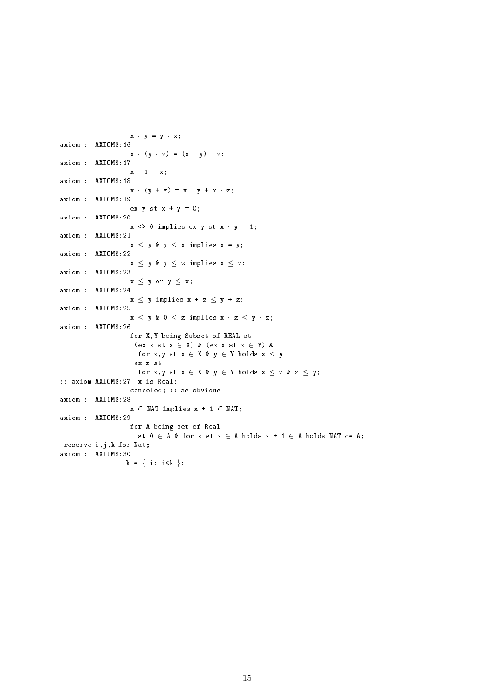```
x - y = y - x;axiom :: AXIOMS:16
                    x \cdot (y \cdot z) = (x \cdot y) \cdot z;axiom :: AXIOMS:17
                    x + 1 = x;axiom :: AXIOMS:18
                    x \cdot (y + z) = x \cdot y + x \cdot z;axiom :: AXIOMS:19
                     ex y st x + y = 0;
axiom :: AXIOMS:20
                    x \leftrightarrow 0 implies ex y st x \cdot y = 1;
axiom :: AXIOMS:21
                    x \leq y & y \leq x implies x = y;
axiom :: AXIOMS:22
                    x \leq y \; \& \; y \leq z \; \text{implies} \; x \leq z;axiom :: AXIOMS:23
                    x \leq y or y \leq x;
axiom :: AXIOMS:24
                    x \leq y implies x + z \leq y + z;
axiom :: AXIOMS:25
                    x \leq y & 0 \leq z implies x \cdot z \leq y \cdot z;
axiom :: AXIOMS:26
                    for X,Y being Subset of REAL st
                      (ex x st x \in X) & (ex x st x \in Y) &
                      for x, y st x \in X & y \in Y holds x \le yex z st
                      for x, y st x \in X & y \in Y holds x \le z & z \le y;
:: axiom AXIOMS:27 x is Real;
                     canceled; :: as obvious
axiom :: AXIOMS:28
                    x \in \text{MAT implies } x + 1 \in \text{NAT};axiom :: AXIOMS:29
                    for A being set of Real
                       st 0 \in A & for x st x \in A holds x + 1 \in A holds NAT c= A;
reserve i,j,k for Nat;
axiom :: AXIOMS:30
                   k = \{ i: i < k \};
```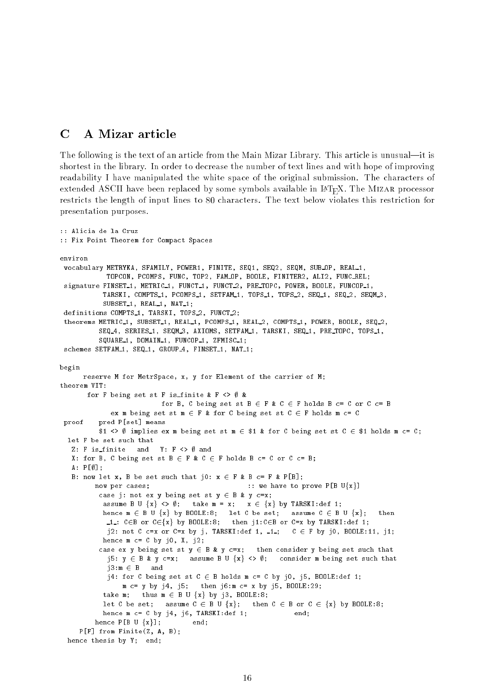#### $\mathbf C$ A Mizar article

:: Alicia de la Cruz

The following is the text of an article from the Main Mizar Library. This article is unusual—it is shortest in the library. In order to decrease the number of text lines and with hope of improving readability I have manipulated the white space of the original submission. The characters of extended ASCII have been replaced by some symbols available in  $\text{IATF}_{\text{A}}X$ . The MIZAR processor restricts the length of input lines to 80 characters. The text below violates this restriction for presentation purposes.

```
:: Fix Point Theorem for Compact Spaces
environ
vocabulary METRYKA, SFAMILY, POWER1, FINITE, SEQ1, SEQ2, SEQM, SUB OP, REAL 1,
              TOPCON, PCOMPS, FUNC, TOP2, FAM OP, BOOLE, FINITER2, ALI2, FUNC REL;
 signature FINSET_1, METRIC_1, FUNCT_1, FUNCT_2, PRE_TOPC, POWER, BOOLE, FUNCOP_1,
            TARSKI, COMPTS_1, PCOMPS_1, SETFAM_1, TOPS_1, TOPS_2, SEQ_1, SEQ_2, SEQM_3
             SUBSET<sub>-1</sub>, REAL<sub>-1</sub>, NAT<sub>-1</sub>;
definitions COMPTS<sub>1</sub>, TARSKI, TOPS<sub>2</sub>, FUNCT<sub>2</sub>;
theorems METRIC<sub>1</sub>, SUBSET<sub>1</sub>, REAL<sub>1</sub>, PCOMPS<sub>1</sub>, REAL<sub>2</sub>, COMPTS<sub>1</sub>, POWER, BOOLE, SEQ<sub>2</sub>,
            SEQ<sub>-4</sub>, SERIES<sub>-1</sub>, SEQM<sub>-3</sub>, AXIOMS, SETFAM<sub>-1</sub>, TARSKI, SEQ<sub>-1</sub>, PRE<sub>-TOPC</sub>, TOPS<sub>-1</sub>,
            SQUARE 1, DOMAIN 1, FUNCOP 1, ZFMISC 1;
 schemes SETFAM<sub>1</sub>, SEQ<sub>-1</sub>, GROUP<sub>4</sub>, FINSET<sub>-1</sub>, NAT<sub>-1</sub>;
begin
       reserve M for MetrSpace, x, y for Element of the carrier of M;
theorem VIT:
       for F being set st F is finite & F \langle \rangle #
                              for B, C being set st B \in F \& C \in F holds B \subset F or C C = Bex m being set st m \in F & for C being set st C \in F holds m c= C
proof pred P[set] means
            $1 <> \emptyset implies ex m being set st m \in $1 & for C being set st C \in $1 holds m c= C;
  let F be set such that
   Z: F is finite and Y: F \langle \rangle and
   X: for B, C being set st B \in F & C \in F holds B c= C or C c= B;
   A: P[\emptyset];B: now let x, B be set such that j0: x \in F & B c= F & P[B];
          now per cases; \cdots :: we have to prove P[B U{x}]
           case j: not ex y being set st y \in B & y c=x;
             assume B U \{x\} \iff \emptyset; take m = x; x \in \{x\} by TARSKI:def 1;
             hence m 2 B U fig by Boole:8; let C be set; assume C 2 B U fig is then
               1 \cdot \cdot \cdot . Then is called by Boole. Then is the following the following the following 1 \cdot \cdot \cdotj2: not C c=x or C=x by j, TARSKI:def 1, -1; C \in F by j0, BOOLE:11, j1;
            hence m c= C by j0, X, j2;
            case ex y being set st y \in B & y c=x; then consider y being set such that
              j5: y \in B & y c=x; assume B U \{x\} \Leftrightarrow \emptyset; consider m being set such that
              i3:m \in B and
              j4: for C being set st C \in B holds m c= C by j0, j5, BOOLE:def 1;
                  m c= y by j4, j5; then j6:m c= x by j5, BOOLE:29;
             take m; thus m \in B U \{x\} by j3, BOOLE:8;
             let C be set; assume C \in B \cup \{x\}; then C \in B or C \in \{x\} by BOOLE:8;
            hence m c = C by j4, j6, TARSKI: def 1; end;
          hence P[B \cup \{x\}]; end;
     P[F] from Finite(Z, A, B);
  hence thesis by Y; end;
```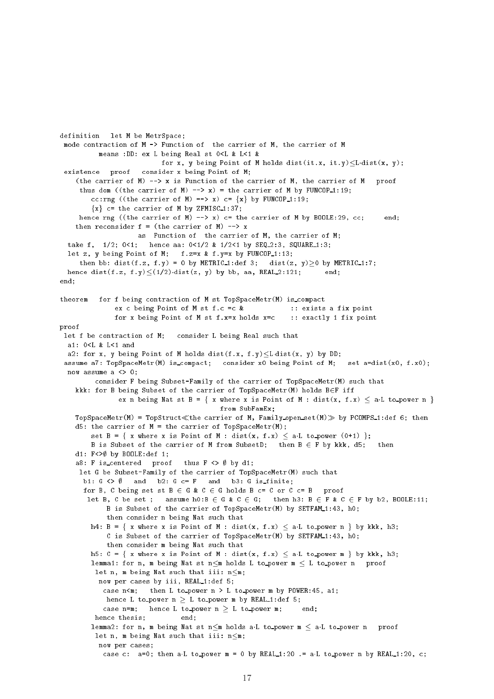```
definition let M be MetrSpace;
mode contraction of M -> Function of the carrier of M, the carrier of M
          means :DD: ex L being Real st 0<L & L<1 &
                           for x, y being Point of M holds dist(it.x, it.y)\leq L dist(x, y);
 existence proof consider x being Point of M;
    (the carrier of M) \rightarrow x is Function of the carrier of M, the carrier of M proof
     thus dom ((the carrier of M) \rightarrow x) = the carrier of M by FUNCOP<sub>1</sub>:19;
        cc:rng ((the carrier of M) --> x) c= \{x\} by FUNCOP_1:19;
        {x} c= the carrier of M by ZFMISC<sub>1</sub>:37;
    hence rng ((the carrier of M) \left(-\right) x) c= the carrier of M by BOOLE:29, cc; end;
    then reconsider f = (the carrier of M) --> x
                    as Function of the carrier of M, the carrier of M;
  take f, 1/2; 0 < 1; hence aa: 0 < 1/2 & 1/2 < 1 by SEQ<sub>-2</sub>:3, SQUARE<sub>-1</sub>:3;
  let z, y being Point of M; f.z=x & f.y=x by FUNCOP_1:13;
     then bb: dist(f.z, f.y) = 0 by METRIC1:def 3; dist(z, y) > 0 by METRIC1:7;
  hence dist(f.z, f.y)\leq(1/2)dist(z, y) by bb, aa, REAL 2:121; end;
end;
theorem for f being contraction of M st TopSpaceMetr(M) is compact
              ex c being Point of M st f.c =c & :: exists a fix point
              for x being Point of M st f.x=x holds x=c :: exactly 1 fix point
proof
let f be contraction of M; consider L being Real such that
  a1: 0<L & L<1 and
  a2: for x, y being Point of M holds dist(f.x, f.y)\leq L dist(x, y) by DD;
 assume a7: TopSpaceMetr(M) is compact; consider x0 being Point of M; set a=dist(x0, f.x0);
  now assume a \langle \rangle 0;
         consider F being Subset-Family of the carrier of TopSpaceMetr(M) such that
    kkk: for B being Subset of the carrier of TopSpaceMetr(M) holds B\inF iff
               ex n being Nat st B = { x where x is Point of M : dist(x, f.x) \leq a.L to_power n }
                                          from SubFamEx;
    TopSpaceMetr(M) = TopStruct\llthe carrier of M, Family open set(M) \gg by PCOMPS 1:def 6; then
    d5: the carrier of M = the carrier of TopSpaceMetr(M);
        set B = { x where x is Point of M : dist(x, f.x) \langle a.L to power (0+1) };
        B is Subset of the carrier of M from SubsetD; then B \in F by kkk, d5; then
    d1: F \leq \emptyset by BOOLE: def 1;
    a8: F is centered proof thus F <> ; by d1;
     let G be Subset-Family of the carrier of TopSpaceMetr(M) such that
      b1: G \iff \emptyset and b2: G \subset F and b3: G is finite;
      for B, C being set st B \in G \& C \in G holds B \subset = C or C \subset = B proof
       let B, C be set ; assume h0:B \in G \& C \in G; then h3: B \in F \& C \in F by b2, BOOLE:11;
            B is Subset of the carrier of TopSpaceMetr(M) by SETFAM_1:43, h0;
            then consider n being Nat such that
        h4: B = { x where x is Point of M : dist(x, f.x) \le a.L to power n } by kkk, h3;
            C is Subset of the carrier of TopSpaceMetr(M) by SETFAM<sub>-1:43</sub>, h0;
            then consider m being Nat such that
        h5: C = \{ x \text{ where } x \text{ is Point of } M : dist(x, f.x) < a \text{.} L to power m \} by kkk, h3;
        lemma1: for n, m being Nat st n \le m holds L to power m \le L to power n proof
         let n, m being Nat such that iii: n \leq m;
          now per cases by iii, REAL_1:def 5;
           case n<m; then L to_power n > L to_power m by POWER:45, a1;
           hence L to power n > L to power m by REAL 1:def 5;
           case n=m; hence L to_power n > L to_power m; end;
         hence thesis; end;
        lemma2: for n, m being Nat st n \le m holds aL to power m \le aL to power n proof
         let n, m being Nat such that iii: n \leq m;
          now per cases;
           case c: a=0; then a L to power m = 0 by REAL 1:20 .= a L to power n by REAL 1:20, c;
```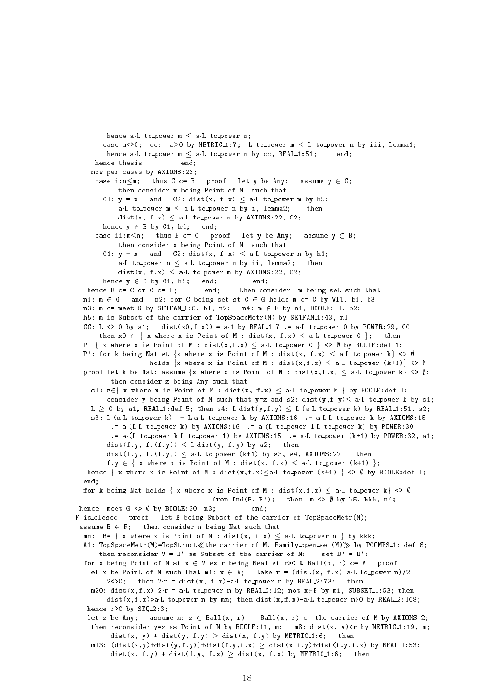```
hence all to power m < aL to power n;
       case a<>0; cc: a > 0 by METRIC_1:7; L to power m \leq L to power n by iii, lemma1;
        hence all to power m < aL to power n by cc, REAL 1:51;
                                                                         end:
     hence thesis;
                             end:now per cases by AXIOMS:23;
     case i:n\leq m; thus C c= B proof let y be Any; assume y \in C;
           then consider x being Point of M such that
       C1: y = x and C2: dist(x, f.x) \le a.L to power m by h5;
            aL to_power m \le aL to_power n by i, lemma2; then
           dist(x, f.x) \leq aL to power n by AXIOMS:22, C2;
       hence y \in B by C1, h4; end;
     case ii:m \le n; thus B c= C proof let y be Any; assume y \in B;
           then consider x being Point of M such that
       C1: y = x and C2: dist(x, f.x) \le all to power n by h4;
            aL to power n < aL to power m by ii, lemma2; then
           dist(x, f.x) \leq aL to power m by AXIOMS:22, C2;
       hence y \in C by C1, h5; end; end;
  hence B c= C or C c= B; end; then consider m being set such that
 n1: m \in G and n2: for C being set st C \in G holds m c= C by VIT, b1, b3;
 n3: m c= meet G by SETFAM_1:6, b1, n2; n4: m \in F by n1, BOOLE:11, b2;
 h5: m is Subset of the carrier of TopSpaceMetr(M) by SETFAM_1:43, n1;
  CC: L <> 0 by a1; dist(x0,f.x0) = a.1 by REAL_1:7 .= a.L to power 0 by POWER:29, CC;
      then x0 \in \{ x \text{ where } x \text{ is Point of } M : dist(x, f.x) \leq a \text{ L to power } 0 \}; then
 P: { x where x is Point of M : dist(x,f.x) \leq a.L to power 0 } <> \emptyset by BOOLE:def 1;
 P': for k being Nat st {x where x is Point of M : dist(x, f.x) \leq a.L to power k} \lt > \emptysetholds \{x \text{ where } x \text{ is Point of } M : dist(x, f.x) \leq a \cdot L \text{ to power } (k+1)\} \Leftrightarrow \emptysetproof let k be Nat; assume \{x \text{ where } x \text{ is Point of } M : dist(x, f.x) \leq a \text{.} L to power k\} \Leftrightarrow \emptyset;then consider z being Any such that
    s1: z \in \{ x \text{ where } x \text{ is Point of } M : dist(x, f.x) \leq a \text{ L to-power } k \} by BOOLE:def 1;
        consider y being Point of M such that y=z and s2: dist(y, f, y) \le a \cdot L to power k by s1;
    L \geq 0 by a1, REAL_1:def 5; then s4: L·dist(y,f.y) \leq L·(a.L to power k) by REAL_1:51, s2;
    s3: L(aL to power k) = LaL to power k by AXIOMS:16 .= aLL to power k by AXIOMS:15
          .= a \cdot (L \cdot L \cdot t \cdot o \cdot p \cdot o \cdot w \cdot k) by AXIOMS:16 .= a \cdot (L \cdot t \cdot o \cdot p \cdot o \cdot w \cdot k) by POWER:30= a(L to power kL to power 1) by AXIOMS:15 = aL to power (k+1) by POWER:32, a1;
        dist(f.y, f.(f.y)) \langle L dist(y, f.y) by a2; then
        dist(f.y, f.(f.y)) \lt a.L to power (k+1) by s3, s4, AXIOMS:22; then
        f.y \in { x where x is Point of M : dist(x, f.x) \leq a.L to power (k+1) };
   hence \{ x \text{ where } x \text{ is Point of } M : dist(x, f.x) \leq a \text{ L to power } (k+1) \} \Leftrightarrow \emptyset \text{ by B00LE:def 1; }end;
  for k being Nat holds { x where x is Point of M : dist(x, f.x) \leq all to power k} \lt > \emptysetfrom Ind(P, P'); then m \iff \emptyset by h5, kkk, n4;
hence meet G \iff \emptyset by BOOLE:30, n3; end;
F is closed proof let B being Subset of the carrier of TopSpaceMetr(M);
 assume B \in F; then consider n being Nat such that
  mm: B= { x where x is Point of M : dist(x, f.x) \leq a.L to power n } by kkk;
  A1: TopSpaceMetr(M)=TopStruct«the carrier of M, Family open set(M) by PCOMPS 1: def 6;
      then reconsider V = B' as Subset of the carrier of M; set B' = B';
 for x being Point of M st x \in V ex r being Real st r>0 & Ball(x, r) c= V proof
   let x be Point of M such that m1: x \in V; take r = (dist(x, f.x)-a \cdot L \cdot to\text{-power } n)/2;
        2<>0; then 2 \cdot r = dist(x, f.x) - a \cdot L to power n by REAL 2:73; then
    m20: dist(x, f.x)-2\text{·r} = a\cdot L to power n by REAL 2:12; not x\in B by m1, SUBSET 1:53; then
        dist(x,f.x)>aL to_power n by mm; then dist(x,f.x)-aL to_power n>0 by REAL 2:108;
   hence r>0 by SEQ_2:3;
   let z be Any; assume m: z \in \text{Ball}(x, r); Ball(x, r) c= the carrier of M by AXIOMS:2;
    then reconsider y=z as Point of M by BOOLE:11, m; m8: dist(x, y) <r by METRIC_1:19, m;
          dist(x, y) + dist(y, f.y) \ge dist(x, f.y) by METRIC_1:6; then
    m13: (\text{dist}(x,y)+\text{dist}(y,f,y))+\text{dist}(f,y,f.x) > \text{dist}(x,f,y)+\text{dist}(f,y,f.x) by REAL 1:53;
          dist(x, f.y) + dist(f.y, f.x) \ge dist(x, f.x) by METRIC_1:6; then
```

```
18
```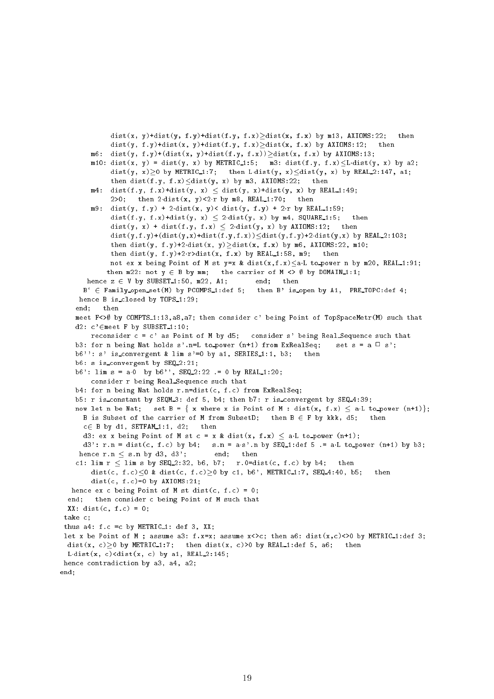```
dist(x, y)+dist(y, f, y)+dist(f, y, f, x))dist(x, f.x) by m13, AXIOMS:22; then
             dist(y, f.y)+dist(x, y)+dist(f.y, f.x)\gedist(x, f.x) by AXIOMS:12;
                                                                                     then
        m6: dist(y, f.y)+(dist(x, y)+dist(f.y, f.x))>dist(x, f.x) by AXIOMS:13;
        m10: dist(x, y) = dist(y, x) by METRIC<sub>1</sub>:5; m3: dist(f.y, f.x)\leq L dist(y, x) by a2;
             dist(y, x) \geq 0 by METRIC 1:7; then L dist(y, x) \leq dist(y, x) by REAL 2:147, a1;
             then dist(f.y, f.x)\leqdist(y, x) by m3, AXIOMS:22; then
        m4: dist(f.y, f.x)+dist(y, x) \leq dist(y, x)+dist(y, x) by REAL 1:49;
             2>0; then 2dist(x, y) < 2r by m8, REAL 1:70; then
        m9: dist(y, f.y) + 2-dist(x, y)< dist(y, f.y) + 2-r by REAL_1:59;
             dist(f.y, f.x)+dist(y, x) \leq 2.dist(y, x) by m4, SQUARE_1:5; then
             dist(y, x) + dist(f.y, f.x) < 2dist(y, x) by AXIOMS:12; then
             dist(y,f.y)+(dist(y,x)+dist(f.y,f.x))<dist(y,f.y)+2dist(y,x) by REAL 2:103;
             then dist(y, f.y)+2dist(x, y) >dist(x, f.x) by m6, AXIOMS:22, m10;
             then dist(y, f.y)+2.r>dist(x, f.x) by REAL_1:58, m9; then
             not ex x being Point of M st y=x & dist(x, f.x) < aL to power n by m20, REAL 1:91;
            then m22: not y \in B by mm; the carrier of M \Leftrightarrow \emptyset by DOMAIN_1:1;
       hence z \in V by SUBSET<sub>1:50</sub>, m22, A1; end; then
      B' \in Family open set(M) by PCOMPS 1:def 5; then B' is open by A1, PRE TOPC:def 4;
     hence B is_closed by TOPS_1:29;
    end; then
    meet F<>\emptyset by COMPTS_1:13, a8, a7; then consider c' being Point of TopSpaceMetr(M) such that
    d2: c' \in \mathsf{meet} F by SUBSET<sub>-1:10</sub>;
        reconsider c = c' as Point of M by d5; consider s' being Real Sequence such that
    b3: for n being Nat holds s'.n=L to_power (n+1) from ExRealSeq; set s = a \square s';
    b6'': s' is convergent & lim s'=0 by a1, SERIES_1:1, b3; then
    b6: s is convergent by SEQ 2:21;
    b6': lim s = a0 by b6'', SEQ 2:22 .= 0 by REAL 1:20;
        consider r being Real Sequence such that
    b4: for n being Nat holds r.n=dist(c, f.c) from ExRealSeq;
    b5: r is constant by SEQM 3: def 5, b4; then b7: r is convergent by SEQ 4:39;
    now let n be Nat; set B = { x where x is Point of M : dist(x, f.x) \langle a.L to_power (n+1)};
      B is Subset of the carrier of M from SubsetD; then B \in F by kkk, d5;
                                                                                 thenc \in B by d1, SETFAM 1:1, d2; then
      d3: ex x being Point of M st c = x & dist(x, f.x) \langle a L to_power (n+1);
      d3': r.n = dist(c, f.c) by b4; s.n = a.s'.n by SEQ-1:def 5 = a.L to power (n+1) by b3;
    hence r.n < s.n by d3, d3'; end; then
    c1: lim r \leq lim s by SEQ 2:32, b6, b7; r.0 = dist(c, f.c) by b4; then
        dist(c, f.c)0 & dist(c, f.c)>0 by c1, b6', METRIC<sub>1</sub>:7, SEQ<sub>-4</sub>:40, b5; then
        dist(c, f.c)=0 by AXIOMS:21;
   hence ex c being Point of M st dist(c, f.c) = 0;
  end; then consider c being Point of M such that
  XX: dist(c, f.c) = 0;take c;
 thus a4: f.c = c by METRIC<sub>1</sub>: def 3, XX;
 let x be Point of M ; assume a3: f.x=x; assume x \leftrightarrow c; then a6: dist(x, c)<>0 by METRIC_1:def 3;
 dist(x, c) \ge 0 by METRIC<sub>1</sub>:7; then dist(x, c) > 0 by REAL<sub>1</sub>:def 5, a6; then
  L dist(x, c) clist(x, c) by a1, REAL 2:145;
hence contradiction by a3, a4, a2;
end;
```
19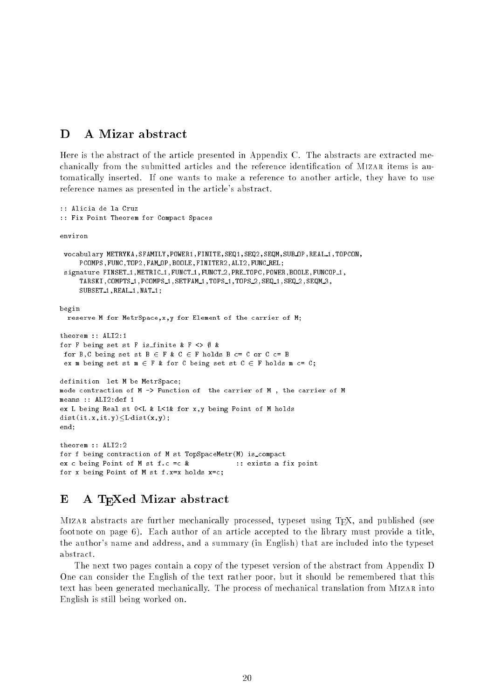#### D A Mizar abstract

Here is the abstract of the article presented in Appendix C. The abstracts are extracted mechanically from the submitted articles and the reference identification of MIZAR items is automatically inserted. If one wants to make a reference to another article, they have to use reference names as presented in the article's abstract.

```
:: Alicia de la Cruz
:: Fix Point Theorem for Compact Spaces
environ
 vocabulary METRYKA, SFAMILY, POWER1, FINITE, SEQ1, SEQ2, SEQM, SUB OP, REAL 1, TOPCON,
     PCOMPS,FUNC,TOP2,FAM OP,BOOLE,FINITER2,ALI2,FUNC REL;
 signature FINSET<sub>1</sub>, METRIC<sub>1</sub>, FUNCT<sub>1</sub>, FUNCT<sub>2</sub>, PRE<sub>TOPC</sub>, POWER, BOOLE, FUNCOP<sub>1</sub>,
      TARSKI, COMPTS 1, PCOMPS 1, SETFAM 1, TOPS 1, TOPS 2, SEQ 1, SEQ 2, SEQM 3,
      SUBSET<sub>1</sub>, REAL<sub>1</sub>, NAT<sub>1</sub>;
begin
begins and the contract of the contract of the contract of the contract of the contract of the contract of the
  reserve M for MetrSpace,x,y for Element of the carrier of M;
theorem :: ALI2:1
for F being set st F is_finite & F \langle \rangle &
 for B,C being set st B \in F & C \in F holds B c= C or C c= B
 ex m being set st m \in F & for C being set st C \in F holds m c= C;
definition let M be MetrSpace;
mode contraction of M -> Function of the carrier of M , the carrier of M
means :: ALI2:def 1
ex L being Real st 0<L & L<1& for x,y being Point of M holds
dist(it.x,it.y) \leq L dist(x,y);end:end;
theorem :: ALI2:2
for f being contraction of M st TopSpaceMetr(M) is compact
ex c being Point of M st f.c =c & :: exists a fix point
for x being Point of M st f.x=x holds x=c;
```
#### $\bf E$ A T<sub>E</sub>Xed Mizar abstract

MIZAR abstracts are further mechanically processed, typeset using T<sub>E</sub>X, and published (see footnote on page 6). Each author of an article accepted to the library must provide a title, the author's name and address, and a summary (in English) that are included into the typeset abstract.

The next two pages contain a copy of the typeset version of the abstract from Appendix D One can consider the English of the text rather poor, but it should be remembered that this text has been generated mechanically. The process of mechanical translation from MIZAR into English is still being worked on.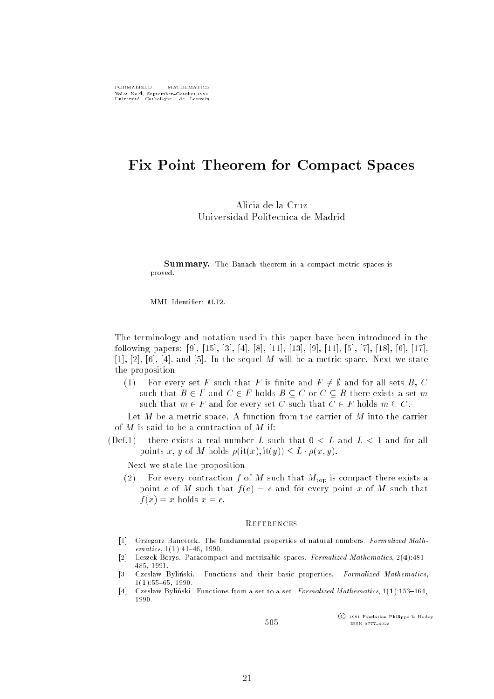# Fix Point Theorem for Compact Spaces

Alicia de la Cruz Universidad Politecnica de Madrid

Summary. The Banach theorem in a compact metric spaces is proved.

MML Identier: ALI2.

The terminology and notation used in this paper have been introduced in the following papers: [9], [15], [3], [4], [8], [11], [13], [9], [11], [5], [7], [18], [6], [17], [1], [2], [6], [4], and [5]. In the sequel M will be a metric space. Next we state the proposition

(1) For every set F such that F is finite and  $F \neq \emptyset$  and for all sets B, C such that  $B \in F$  and  $C \in F$  holds  $B \subseteq C$  or  $C \subseteq B$  there exists a set m such that  $m \in F$  and for every set C such that  $C \in F$  holds  $m \subseteq C$ .

Let  $M$  be a metric space. A function from the carrier of  $M$  into the carrier of  $M$  is said to be a contraction of  $M$  if:

(Def.1) there exists a real number L such that  $0 < L$  and  $L < 1$  and for all points x, y of M holds  $\rho(\text{it}(x), \text{it}(y)) \leq L \cdot \rho(x, y)$ .

Next we state the proposition

(2) For every contraction f of M such that  $M_{\text{top}}$  is compact there exists a point c of M such that  $f(c) = c$  and for every point x of M such that  $f(x) = x$  holds  $x = c$ .

### **REFERENCES**

- $\lceil 1 \rceil$  Grzegorz Bancerek. The fundamental properties of natural numbers. Formalized Math $ematics, 1(1):41–46, 1990.$
- [2]Leszek Borys. Paracompact and metrizable spaces. Formalized Mathematics, 2(4):481-485, 1991.
- [3]Czesław Byliński. Functions and their basic properties. Formalized Mathematics,  $1(1):55{-}65, 1990.$
- $\lceil 4 \rceil$ Czesław Byliński. Functions from a set to a set. Formalized Mathematics,  $1(1):153{-}164$ , 1990.

505

<sup>c</sup> 1991 Fondation Philippe le Hodey ISSN 0777{4028